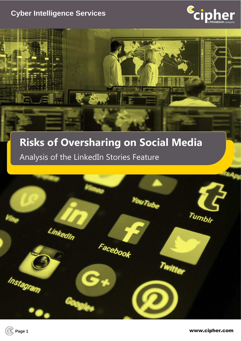## **Cyber Intelligence Services**

de



# **Risks of Oversharing on Social Media** Analysis of the LinkedIn Stories Feature



**Page 1** www.cipher.com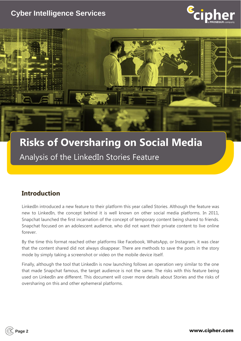## **Cyber Intelligence Services**





# **Risks of Oversharing on Social Media** Analysis of the LinkedIn Stories Feature

## **Introduction**

LinkedIn introduced a new feature to their platform this year called Stories. Although the feature was new to LinkedIn, the concept behind it is well known on other social media platforms. In 2011, Snapchat launched the first incarnation of the concept of temporary content being shared to friends. Snapchat focused on an adolescent audience, who did not want their private content to live online forever.

By the time this format reached other platforms like Facebook, WhatsApp, or Instagram, it was clear that the content shared did not always disappear. There are methods to save the posts in the story mode by simply taking a screenshot or video on the mobile device itself.

Finally, although the tool that LinkedIn is now launching follows an operation very similar to the one that made Snapchat famous, the target audience is not the same. The risks with this feature being used on LinkedIn are different. This document will cover more details about Stories and the risks of oversharing on this and other ephemeral platforms.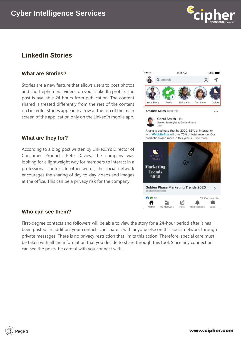

## **LinkedIn Stories**

#### **What are Stories?**

Stories are a new feature that allows users to post photos and short ephemeral videos on your LinkedIn profile. The post is available 24 hours from publication. The content shared is treated differently from the rest of the content on LinkedIn. Stories appear in a row at the top of the main screen of the application only on the LinkedIn mobile app.

#### **What are they for?**

According to a blog post written by LinkedIn's Director of Consumer Products Pete Davies, the company was looking for a lightweight way for members to interact in a professional context. In other words, the social network encourages the sharing of day-to-day videos and images at the office. This can be a privacy risk for the company.

#### **Who can see them?**

First-degree contacts and followers will be able to view the story for a 24-hour period after it has been posted. In addition, your contacts can share it with anyone else on this social network through private messages. There is no privacy restriction that limits this action. Therefore, special care must be taken with all the information that you decide to share through this tool. Since any connection can see the posts, be careful with you connect with.





Analysts estimate that by 2020, 85% of interaction with #MobileAds will dive 75% of total revenue. Our predictions and more in this year's ... See more

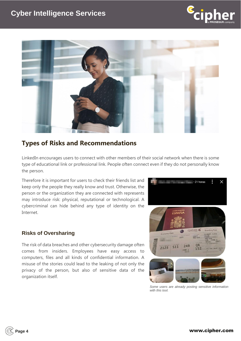



## **Types of Risks and Recommendations**

LinkedIn encourages users to connect with other members of their social network when there is some type of educational link or professional link. People often connect even if they do not personally know the person.

Therefore it is important for users to check their friends list and keep only the people they really know and trust. Otherwise, the person or the organization they are connected with represents may introduce risk: physical, reputational or technological. A cybercriminal can hide behind any type of identity on the Internet.

#### **Risks of Oversharing**

The risk of data breaches and other cybersecurity damage often comes from insiders. Employees have easy access to computers, files and all kinds of confidential information. A misuse of the stories could lead to the leaking of not only the privacy of the person, but also of sensitive data of the organization itself.



*Some users are already posting sensitive information with this tool.*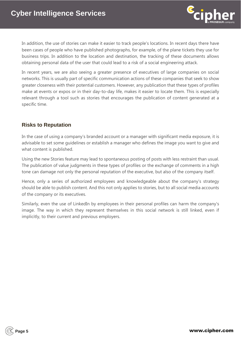

In addition, the use of stories can make it easier to track people's locations. In recent days there have been cases of people who have published photographs, for example, of the plane tickets they use for business trips. In addition to the location and destination, the tracking of these documents allows obtaining personal data of the user that could lead to a risk of a social engineering attack.

In recent years, we are also seeing a greater presence of executives of large companies on social networks. This is usually part of specific communication actions of these companies that seek to show greater closeness with their potential customers. However, any publication that these types of profiles make at events or expos or in their day-to-day life, makes it easier to locate them. This is especially relevant through a tool such as stories that encourages the publication of content generated at a specific time.

### **Risks to Reputation**

In the case of using a company's branded account or a manager with significant media exposure, it is advisable to set some guidelines or establish a manager who defines the image you want to give and what content is published.

Using the new Stories feature may lead to spontaneous posting of posts with less restraint than usual. The publication of value judgments in these types of profiles or the exchange of comments in a high tone can damage not only the personal reputation of the executive, but also of the company itself.

Hence, only a series of authorized employees and knowledgeable about the company's strategy should be able to publish content. And this not only applies to stories, but to all social media accounts of the company or its executives.

Similarly, even the use of LinkedIn by employees in their personal profiles can harm the company's image. The way in which they represent themselves in this social network is still linked, even if implicitly, to their current and previous employers.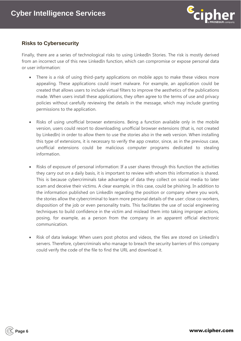

### **Risks to Cybersecurity**

Finally, there are a series of technological risks to using LinkedIn Stories. The risk is mostly derived from an incorrect use of this new LinkedIn function, which can compromise or expose personal data or user information:

- There is a risk of using third-party applications on mobile apps to make these videos more appealing. These applications could insert malware. For example, an application could be created that allows users to include virtual filters to improve the aesthetics of the publications made. When users install these applications, they often agree to the terms of use and privacy policies without carefully reviewing the details in the message, which may include granting permissions to the application.
- Risks of using unofficial browser extensions. Being a function available only in the mobile version, users could resort to downloading unofficial browser extensions (that is, not created by LinkedIn) in order to allow them to use the stories also in the web version. When installing this type of extensions, it is necessary to verify the app creator, since, as in the previous case, unofficial extensions could be malicious computer programs dedicated to stealing information.
- Risks of exposure of personal information: If a user shares through this function the activities they carry out on a daily basis, it is important to review with whom this information is shared. This is because cybercriminals take advantage of data they collect on social media to later scam and deceive their victims. A clear example, in this case, could be phishing. In addition to the information published on LinkedIn regarding the position or company where you work, the stories allow the cybercriminal to learn more personal details of the user: close co-workers, disposition of the job or even personality traits. This facilitates the use of social engineering techniques to build confidence in the victim and mislead them into taking improper actions, posing, for example, as a person from the company in an apparent official electronic communication.
- Risk of data leakage: When users post photos and videos, the files are stored on LinkedIn's servers. Therefore, cybercriminals who manage to breach the security barriers of this company could verify the code of the file to find the URL and download it.